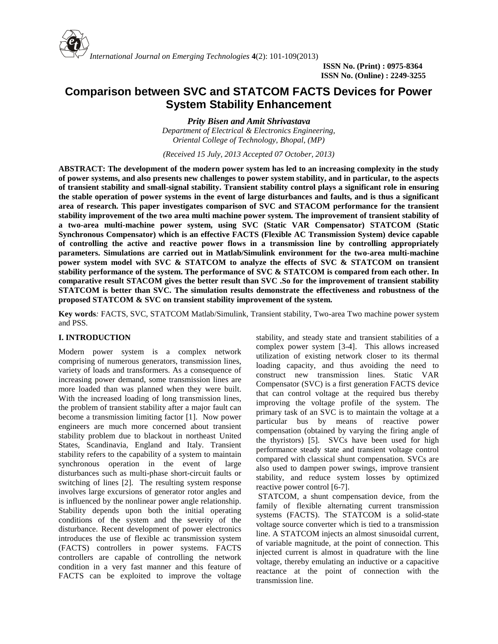

# **Comparison between SVC and STATCOM FACTS Devices for Power System Stability Enhancement**

*Prity Bisen and Amit Shrivastava Department of Electrical & Electronics Engineering, Oriental College of Technology, Bhopal, (MP)*

*(Received 15 July, 2013 Accepted 07 October, 2013)*

**ABSTRACT: The development of the modern power system has led to an increasing complexity in the study of power systems, and also presents new challenges to power system stability, and in particular, to the aspects of transient stability and small-signal stability. Transient stability control plays a significant role in ensuring the stable operation of power systems in the event of large disturbances and faults, and is thus a significant area of research. This paper investigates comparison of SVC and STACOM performance for the transient stability improvement of the two area multi machine power system. The improvement of transient stability of a two-area multi-machine power system, using SVC (Static VAR Compensator) STATCOM (Static Synchronous Compensator) which is an effective FACTS (Flexible AC Transmission System) device capable of controlling the active and reactive power flows in a transmission line by controlling appropriately parameters. Simulations are carried out in Matlab/Simulink environment for the two-area multi-machine power system model with SVC & STATCOM to analyze the effects of SVC & STATCOM on transient stability performance of the system. The performance of SVC & STATCOM is compared from each other. In comparative result STACOM gives the better result than SVC .So for the improvement of transient stability STATCOM is better than SVC. The simulation results demonstrate the effectiveness and robustness of the proposed STATCOM & SVC on transient stability improvement of the system.**

**Key words***:* FACTS, SVC, STATCOM Matlab/Simulink, Transient stability, Two-area Two machine power system and PSS.

# **I. INTRODUCTION**

Modern power system is a complex network comprising of numerous generators, transmission lines, variety of loads and transformers. As a consequence of increasing power demand, some transmission lines are more loaded than was planned when they were built. With the increased loading of long transmission lines, the problem of transient stability after a major fault can become a transmission limiting factor [1]. Now power engineers are much more concerned about transient stability problem due to blackout in northeast United States, Scandinavia, England and Italy. Transient stability refers to the capability of a system to maintain synchronous operation in the event of large disturbances such as multi-phase short-circuit faults or switching of lines [2]. The resulting system response involves large excursions of generator rotor angles and is influenced by the nonlinear power angle relationship. Stability depends upon both the initial operating conditions of the system and the severity of the disturbance. Recent development of power electronics introduces the use of flexible ac transmission system (FACTS) controllers in power systems. FACTS controllers are capable of controlling the network condition in a very fast manner and this feature of FACTS can be exploited to improve the voltage

stability, and steady state and transient stabilities of a complex power system [3-4]. This allows increased utilization of existing network closer to its thermal loading capacity, and thus avoiding the need to construct new transmission lines. Static VAR Compensator (SVC) is a first generation FACTS device that can control voltage at the required bus thereby improving the voltage profile of the system. The primary task of an SVC is to maintain the voltage at a particular bus by means of reactive power compensation (obtained by varying the firing angle of the thyristors) [5]. SVCs have been used for high performance steady state and transient voltage control compared with classical shunt compensation. SVCs are also used to dampen power swings, improve transient stability, and reduce system losses by optimized reactive power control [6-7].

STATCOM, a shunt compensation device, from the family of flexible alternating current transmission systems (FACTS). The STATCOM is a solid-state voltage source converter which is tied to a transmission line. A STATCOM injects an almost sinusoidal current, of variable magnitude, at the point of connection. This injected current is almost in quadrature with the line voltage, thereby emulating an inductive or a capacitive reactance at the point of connection with the transmission line.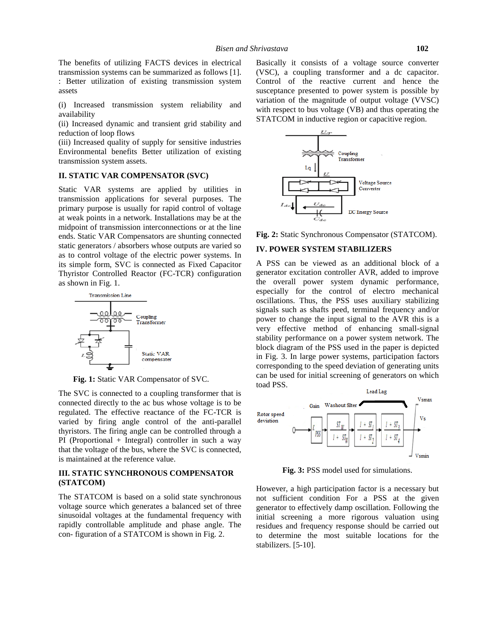The benefits of utilizing FACTS devices in electrical transmission systems can be summarized as follows [1]. : Better utilization of existing transmission system assets

(i) Increased transmission system reliability and availability

(ii) Increased dynamic and transient grid stability and reduction of loop flows

(iii) Increased quality of supply for sensitive industries Environmental benefits Better utilization of existing transmission system assets.

## **II. STATIC VAR COMPENSATOR (SVC)**

Static VAR systems are applied by utilities in transmission applications for several purposes. The primary purpose is usually for rapid control of voltage at weak points in a network. Installations may be at the midpoint of transmission interconnections or at the line ends. Static VAR Compensators are shunting connected static generators / absorbers whose outputs are varied so as to control voltage of the electric power systems. In its simple form, SVC is connected as Fixed Capacitor Thyristor Controlled Reactor (FC-TCR) configuration as shown in Fig. 1.



**Fig. 1:** Static VAR Compensator of SVC.

The SVC is connected to a coupling transformer that is connected directly to the ac bus whose voltage is to be regulated. The effective reactance of the FC-TCR is<br>varied by firing angle control of the anti-parallel deviation varied by firing angle control of the anti-parallel thyristors. The firing angle can be controlled through a PI (Proportional + Integral) controller in such a way that the voltage of the bus, where the SVC is connected, is maintained at the reference value.

# **III. STATIC SYNCHRONOUS COMPENSATOR (STATCOM)**

The STATCOM is based on a solid state synchronous voltage source which generates a balanced set of three sinusoidal voltages at the fundamental frequency with rapidly controllable amplitude and phase angle. The con- figuration of a STATCOM is shown in Fig.2.

Basically it consists of a voltage source converter (VSC), a coupling transformer and a dc capacitor. Control of the reactive current and hence the susceptance presented to power system is possible by variation of the magnitude of output voltage (VVSC) with respect to bus voltage (VB) and thus operating the STATCOM in inductive region or capacitive region.



**Fig. 2:** Static Synchronous Compensator (STATCOM).

#### **IV. POWER SYSTEM STABILIZERS**

A PSS can be viewed as an additional block of a generator excitation controller AVR, added to improve the overall power system dynamic performance, especially for the control of electro mechanical oscillations. Thus, the PSS uses auxiliary stabilizing signals such as shafts peed, terminal frequency and/or power to change the input signal to the AVR this is a very effective method of enhancing small-signal stability performance on a power system network. The block diagram of the PSS used in the paper is depicted in Fig. 3. In large power systems, participation factors corresponding to the speed deviation of generating units can be used for initial screening of generators on which toad PSS.



**Fig. 3:** PSS model used for simulations.

However, a high participation factor is a necessary but not sufficient condition For a PSS at the given generator to effectively damp oscillation. Following the initial screening a more rigorous valuation using residues and frequency response should be carried out to determine the most suitable locations for the stabilizers. [5-10].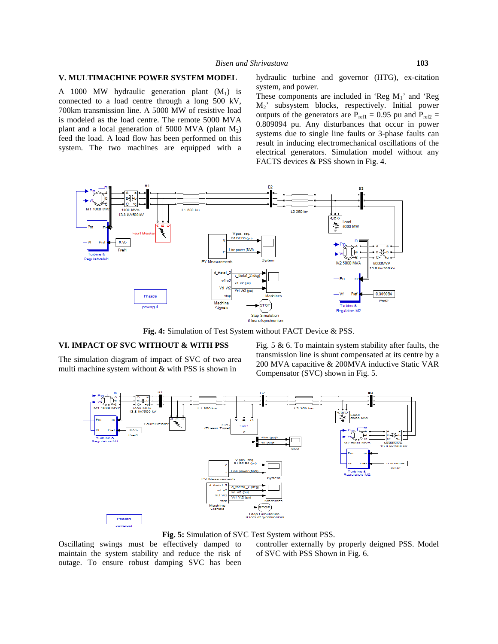## **V. MULTIMACHINE POWER SYSTEM MODEL**

A 1000 MW hydraulic generation plant  $(M_1)$  is connected to a load centre through a long 500 kV, 700km transmission line. A 5000 MW of resistive load is modeled as the load centre. The remote 5000 MVA plant and a local generation of 5000 MVA (plant  $M_2$ ) feed the load. A load flow has been performed on this system. The two machines are equipped with a hydraulic turbine and governor (HTG), ex-citation system, and power.

These components are included in 'Reg  $M_1$ ' and 'Reg M2' subsystem blocks, respectively. Initial power outputs of the generators are  $P_{ref1} = 0.95$  pu and  $P_{ref2} =$ 0.809094 pu. Any disturbances that occur in power systems due to single line faults or 3-phase faults can result in inducing electromechanical oscillations of the electrical generators. Simulation model without any FACTS devices & PSS shown in Fig. 4.



**Fig. 4:** Simulation of Test System without FACT Device & PSS.

# **VI. IMPACT OF SVC WITHOUT & WITH PSS**

The simulation diagram of impact of SVC of two area multi machine system without & with PSS is shown in

Fig.  $5 \& 6$ . To maintain system stability after faults, the transmission line is shunt compensated at its centre by a 200 MVA capacitive & 200MVA inductive Static VAR Compensator (SVC) shown in Fig.5.



**Fig. 5:** Simulation of SVC Test System without PSS.

Oscillating swings must be effectively damped to maintain the system stability and reduce the risk of outage. To ensure robust damping SVC has been controller externally by properly deigned PSS. Model of SVC with PSS Shown in Fig.6.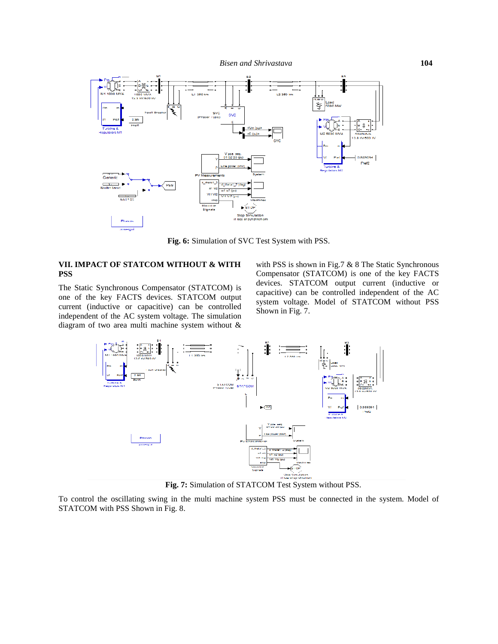*Bisen and Shrivastava* **104**



**Fig. 6:** Simulation of SVC Test System with PSS.

## **VII. IMPACT OF STATCOM WITHOUT & WITH PSS**

The Static Synchronous Compensator (STATCOM) is one of the key FACTS devices. STATCOM output current (inductive or capacitive) can be controlled independent of the AC system voltage. The simulation diagram of two area multi machine system without &

with PSS is shown in Fig.7 & 8 The Static Synchronous Compensator (STATCOM) is one of the key FACTS devices. STATCOM output current (inductive or capacitive) can be controlled independent of the AC system voltage. Model of STATCOM without PSS Shown in Fig. 7.



**Fig. 7:** Simulation of STATCOM Test System without PSS.

To control the oscillating swing in the multi machine system PSS must be connected in the system. Model of STATCOM with PSS Shown in Fig.8.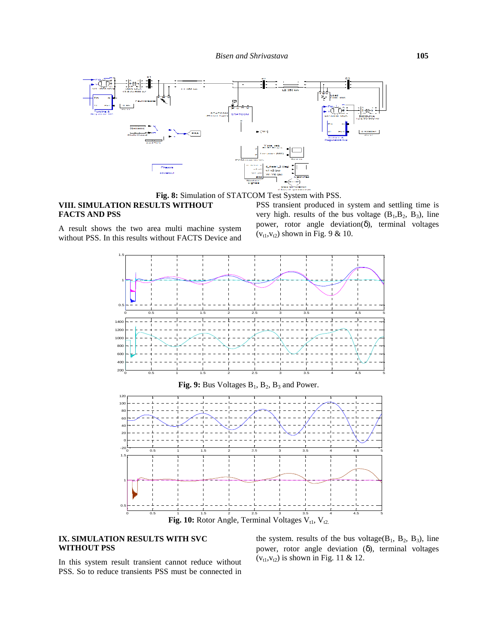

**Fig. 8:** Simulation of STATCOM Test System with PSS.

# **VIII. SIMULATION RESULTS WITHOUT FACTS AND PSS**

PSS transient produced in system and settling time is very high. results of the bus voltage  $(B_1, B_2, B_3)$ , line power, rotor angle deviation(δ), terminal voltages  $(v_{t1},v_{t2})$  shown in Fig. 9 & 10.

A result shows the two area multi machine system without PSS. In this results without FACTS Device and



**Fig. 10:** Rotor Angle, Terminal Voltages V<sub>t1</sub>, V<sub>t2.</sub>

### **IX. SIMULATION RESULTS WITH SVC WITHOUT PSS**

the system. results of the bus voltage( $B_1$ ,  $B_2$ ,  $B_3$ ), line power, rotor angle deviation (δ), terminal voltages  $(v_{t1},v_{t2})$  is shown in Fig. 11 & 12.

In this system result transient cannot reduce without PSS. So to reduce transients PSS must be connected in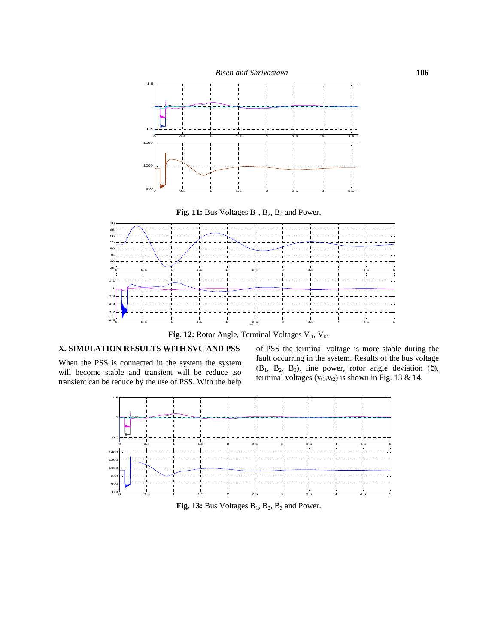

**Fig. 12:** Rotor Angle, Terminal Voltages  $V_{t1}$ ,  $V_{t2}$ .

# **X. SIMULATION RESULTS WITH SVC AND PSS**

When the PSS is connected in the system the system will become stable and transient will be reduce .so transient can be reduce by the use of PSS. With the help

of PSS the terminal voltage is more stable during the fault occurring in the system. Results of the bus voltage  $(B_1, B_2, B_3)$ , line power, rotor angle deviation  $(\delta)$ , terminal voltages ( $v_{t1}, v_{t2}$ ) is shown in Fig. 13 & 14.



**Fig. 13:** Bus Voltages  $B_1$ ,  $B_2$ ,  $B_3$  and Power.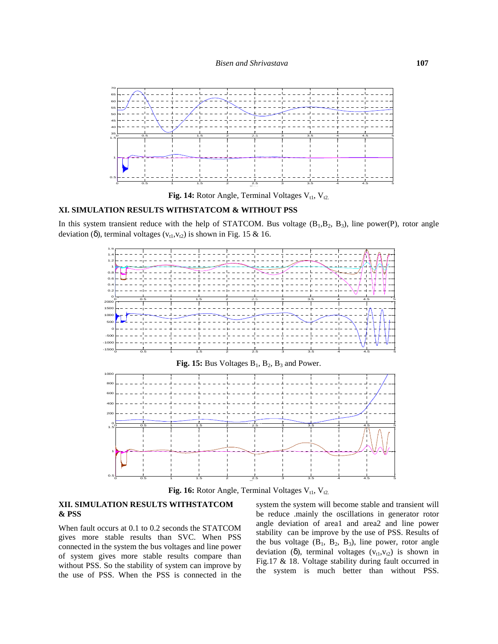

**Fig. 14:** Rotor Angle, Terminal Voltages  $V_{t1}$ ,  $V_{t2}$ .

## **XI. SIMULATION RESULTS WITHSTATCOM & WITHOUT PSS**

In this system transient reduce with the help of STATCOM. Bus voltage  $(B_1, B_2, B_3)$ , line power(P), rotor angle deviation (δ), terminal voltages ( $v_{t1}, v_{t2}$ ) is shown in Fig. 15 & 16.



**Fig. 16:** Rotor Angle, Terminal Voltages  $V_{t1}$ ,  $V_{t2}$ .

## **XII. SIMULATION RESULTS WITHSTATCOM & PSS**

When fault occurs at 0.1 to 0.2 seconds the STATCOM gives more stable results than SVC. When PSS connected in the system the bus voltages and line power of system gives more stable results compare than without PSS. So the stability of system can improve by the use of PSS. When the PSS is connected in the system the system will become stable and transient will be reduce .mainly the oscillations in generator rotor angle deviation of area1 and area2 and line power stability can be improve by the use of PSS. Results of the bus voltage  $(B_1, B_2, B_3)$ , line power, rotor angle deviation (δ), terminal voltages  $(v<sub>t1</sub>,v<sub>t2</sub>)$  is shown in Fig.17 & 18. Voltage stability during fault occurred in the system is much better than without PSS.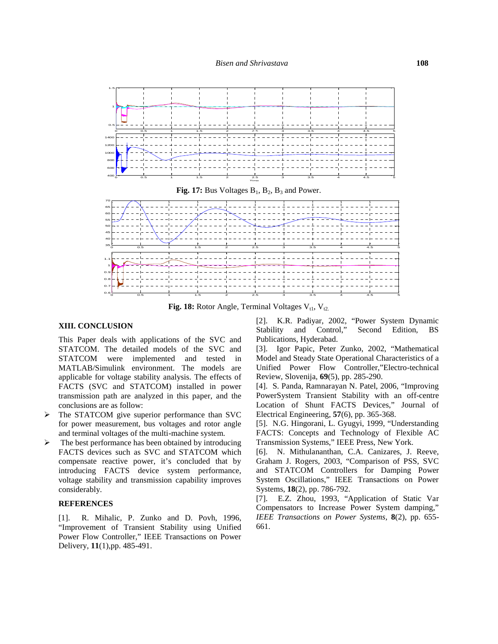

**Fig. 18:** Rotor Angle, Terminal Voltages  $V_{t1}$ ,  $V_{t2}$ .

#### **XIII. CONCLUSION**

This Paper deals with applications of the SVC and STATCOM. The detailed models of the SVC and STATCOM were implemented and tested in MATLAB/Simulink environment. The models are applicable for voltage stability analysis. The effects of FACTS (SVC and STATCOM) installed in power transmission path are analyzed in this paper, and the conclusions are as follow:

- The STATCOM give superior performance than SVC for power measurement, bus voltages and rotor angle and terminal voltages of the multi-machine system.
- $\triangleright$  The best performance has been obtained by introducing FACTS devices such as SVC and STATCOM which [6]. compensate reactive power, it's concluded that by introducing FACTS device system performance, voltage stability and transmission capability improves considerably.

#### **REFERENCES**

[1]. R. Mihalic, P. Zunko and D. Povh, 1996, "Improvement of Transient Stability using Unified Power Flow Controller," IEEE Transactions on Power Delivery, **11**(1),pp. 485-491.

[2]. K.R. Padiyar, 2002, "Power System Dynamic Stability and Control," Second Edition, BS Publications, Hyderabad.

[3]. Igor Papic, Peter Zunko, 2002, "Mathematical Model and Steady State Operational Characteristics of a Unified Power Flow Controller,"Electro-technical Review, Slovenija, **69**(5), pp. 285-290.

[4]. S. Panda, Ramnarayan N. Patel, 2006, "Improving PowerSystem Transient Stability with an off-centre Location of Shunt FACTS Devices," Journal of Electrical Engineering, **57**(6), pp. 365-368.

[5]. N.G. Hingorani, L. Gyugyi, 1999, "Understanding FACTS: Concepts and Technology of Flexible AC Transmission Systems," IEEE Press, New York.

[6]. N. Mithulananthan, C.A. Canizares, J. Reeve, Graham J. Rogers, 2003, "Comparison of PSS, SVC and STATCOM Controllers for Damping Power System Oscillations," IEEE Transactions on Power Systems, **18**(2), pp. 786-792.

[7]. E.Z. Zhou, 1993, "Application of Static Var Compensators to Increase Power System damping," *IEEE Transactions on Power Systems,* **8**(2), pp. 655- 661.